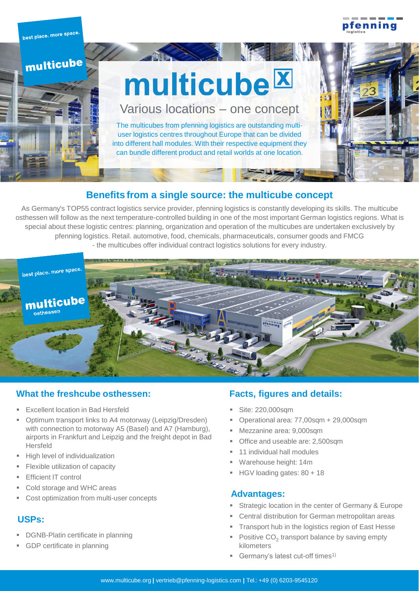pfenninc

best place. more space multicube multicube<sup>IX</sup> Various locations – one concept The multicubes from pfenning logistics are outstanding multiuser logistics centres throughout Europe that can be divided into different hall modules. With their respective equipment they can bundle different product and retail worlds at one location.

### **Benefits from a single source: the multicube concept**

As Germany's TOP55 contract logistics service provider, pfenning logistics is constantly developing its skills. The multicube osthessen will follow as the next temperature-controlled building in one of the most important German logistics regions. What is special about these logistic centres: planning, organization and operation of the multicubes are undertaken exclusively by pfenning logistics. Retail. automotive, food, chemicals, pharmaceuticals, consumer goods and FMCG - the multicubes offer individual contract logistics solutions for every industry.



### **What the freshcube osthessen:**

- **Excellent location in Bad Hersfeld**
- Optimum transport links to A4 motorway (Leipzig/Dresden) with connection to motorway A5 (Basel) and A7 (Hamburg), airports in Frankfurt and Leipzig and the freight depot in Bad Hersfeld
- **E** High level of individualization
- **Elexible utilization of capacity**
- **Efficient IT control**
- Cold storage and WHC areas
- Cost optimization from multi-user concepts

### **USPs:**

- **DGNB-Platin certificate in planning**
- **GDP certificate in planning**

### **Facts, figures and details:**

- Site: 220,000sqm
- Operational area: 77,00sqm + 29,000sqm
- Mezzanine area: 9,000sqm
- Office and useable are: 2,500sqm
- 11 individual hall modules
- Warehouse height: 14m
- HGV loading gates: 80 + 18

#### **Advantages:**

- Strategic location in the center of Germany & Europe
- Central distribution for German metropolitan areas
- Transport hub in the logistics region of East Hesse
- **•** Positive  $CO<sub>2</sub>$  transport balance by saving empty kilometers
- **EXECUTE:** Germany's latest cut-off times<sup>1)</sup>